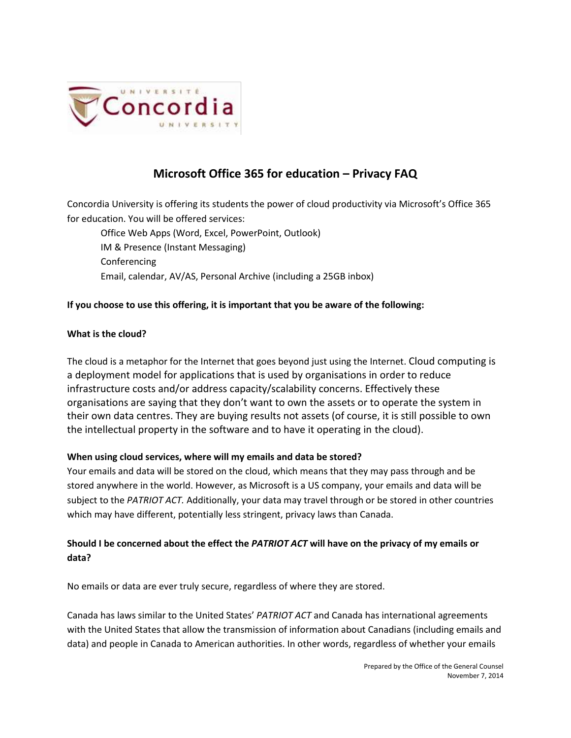

# **Microsoft Office 365 for education – Privacy FAQ**

Concordia University is offering its students the power of cloud productivity via Microsoft's Office 365 for education. You will be offered services:

Office Web Apps (Word, Excel, PowerPoint, Outlook) IM & Presence (Instant Messaging) Conferencing Email, calendar, AV/AS, Personal Archive (including a 25GB inbox)

# **If you choose to use this offering, it is important that you be aware of the following:**

#### **What is the cloud?**

The cloud is a metaphor for the Internet that goes beyond just using the Internet. Cloud computing is a deployment model for applications that is used by organisations in order to reduce infrastructure costs and/or address capacity/scalability concerns. Effectively these organisations are saying that they don't want to own the assets or to operate the system in their own data centres. They are buying results not assets (of course, it is still possible to own the intellectual property in the software and to have it operating in the cloud).

#### **When using cloud services, where will my emails and data be stored?**

Your emails and data will be stored on the cloud, which means that they may pass through and be stored anywhere in the world. However, as Microsoft is a US company, your emails and data will be subject to the *PATRIOT ACT.* Additionally, your data may travel through or be stored in other countries which may have different, potentially less stringent, privacy laws than Canada.

# **Should I be concerned about the effect the** *PATRIOT ACT* **will have on the privacy of my emails or data?**

No emails or data are ever truly secure, regardless of where they are stored.

Canada has laws similar to the United States' *PATRIOT ACT* and Canada has international agreements with the United States that allow the transmission of information about Canadians (including emails and data) and people in Canada to American authorities. In other words, regardless of whether your emails